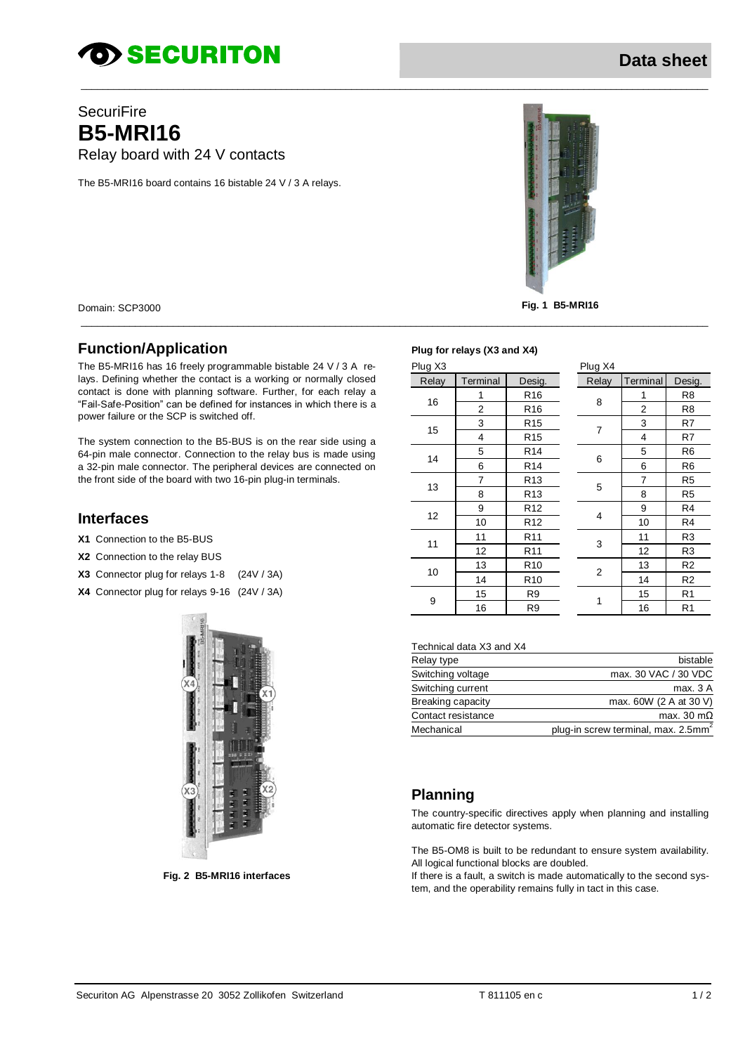# *SECURITON*

# **SecuriFire B5-MRI16** Relay board with 24 V contacts

The B5-MR116 board contains 16 bistable 24 V / 3 A relays.



Domain: SCP3000

#### **Function/Application**

The B5-MR116 has 16 freely programmable bistable 24 V / 3 A relays. Defining whether the contact is a working or normally closed contact is done with planning software. Further, for each relay a "Fail-Safe-Position" can be defined for instances in which there is a power failure or the SCP is switched off.

The system connection to the B5-BUS is on the rear side using a 64-pin male connector. Connection to the relay bus is made using a 32-pin male connector. The peripheral devices are connected on the front side of the board with two 16-pin plug-in terminals.

### **Interfaces**

- X1 Connection to the B5-BUS
- X2 Connection to the relay BUS
- X3 Connector plug for relays 1-8 (24V / 3A)
- X4 Connector plug for relays 9-16 (24V / 3A)



Fig. 2 B5-MRI16 interfaces

#### Plug for relays (X3 and X4)

| $\cdots$ , $\cdots$ |                 |  |                |                       |                |
|---------------------|-----------------|--|----------------|-----------------------|----------------|
|                     |                 |  | Plug X4        |                       |                |
| Terminal            | Desig.          |  | Relay          | Terminal              | Desig.         |
| 1                   | R <sub>16</sub> |  |                | 1                     | R <sub>8</sub> |
| 2                   | R <sub>16</sub> |  |                | $\overline{2}$        | R <sub>8</sub> |
| 3                   | R <sub>15</sub> |  |                | 3                     | R7             |
| 4                   | R <sub>15</sub> |  |                | 4                     | R7             |
| 5                   | R <sub>14</sub> |  | 6              | 5                     | R <sub>6</sub> |
| 6                   | R <sub>14</sub> |  |                | 6                     | R <sub>6</sub> |
| 7                   | R <sub>13</sub> |  | 5              | $\overline{7}$        | R <sub>5</sub> |
| 8                   | R <sub>13</sub> |  |                | 8                     | R <sub>5</sub> |
| 9                   | R <sub>12</sub> |  |                | 9                     | R <sub>4</sub> |
| 10                  | R <sub>12</sub> |  |                | 10                    | R4             |
| 11                  | R <sub>11</sub> |  |                | 11                    | R <sub>3</sub> |
| 12                  | R <sub>11</sub> |  |                | 12                    | R <sub>3</sub> |
| 13                  | R <sub>10</sub> |  | $\overline{2}$ | 13                    | R <sub>2</sub> |
| 14                  | R <sub>10</sub> |  |                | 14                    | R <sub>2</sub> |
| 15                  | R <sub>9</sub>  |  |                | 15                    | R <sub>1</sub> |
| 16                  | R <sub>9</sub>  |  |                | 16                    | R <sub>1</sub> |
|                     |                 |  |                | 8<br>7<br>4<br>3<br>1 |                |

#### Technical data X3 and X4

| Relay type         | bistable                                        |
|--------------------|-------------------------------------------------|
| Switching voltage  | max. 30 VAC / 30 VDC                            |
| Switching current  | max. 3 A                                        |
| Breaking capacity  | max. 60W (2 A at 30 V)                          |
| Contact resistance | max. 30 m $\Omega$                              |
| Mechanical         | plug-in screw terminal, max. 2.5mm <sup>2</sup> |

#### **Planning**

The country-specific directives apply when planning and installing automatic fire detector systems.

The B5-OM8 is built to be redundant to ensure system availability. All logical functional blocks are doubled.

If there is a fault, a switch is made automatically to the second system, and the operability remains fully in tact in this case.